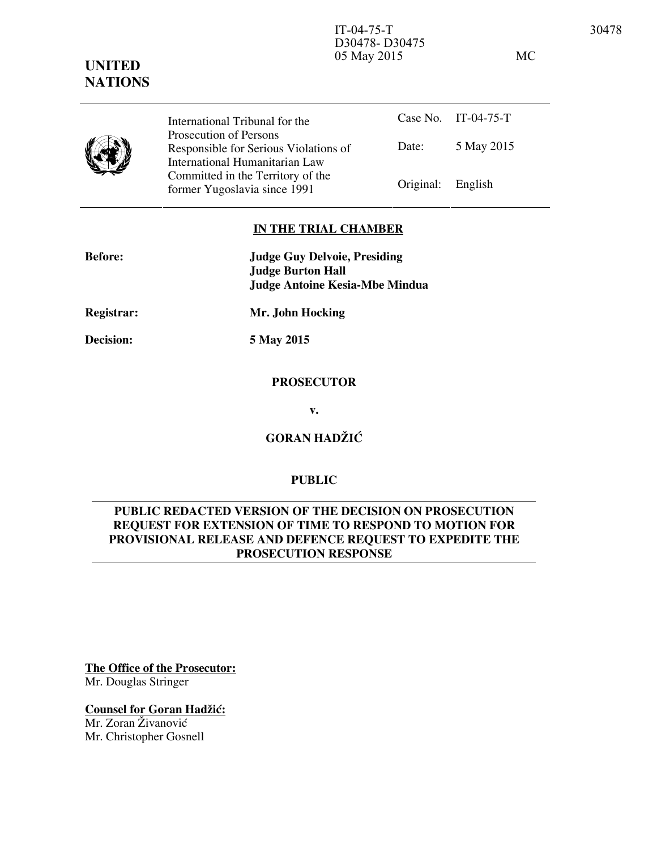#### IT-04-75-T 30478 D30478- D30475 05 May 2015 MC

**UNITED NATIONS**

> Case No. IT-04-75-T Date: 5 May 2015 International Tribunal for the Prosecution of Persons Responsible for Serious Violations of International Humanitarian Law Committed in the Territory of the Former Yugoslavia since 1991 Original: English

### **IN THE TRIAL CHAMBER**

| <b>Before:</b> | <b>Judge Guy Delvoie, Presiding</b><br><b>Judge Burton Hall</b><br>Judge Antoine Kesia-Mbe Mindua |
|----------------|---------------------------------------------------------------------------------------------------|
| Registrar:     | Mr. John Hocking                                                                                  |

**Decision: 5 May 2015** 

### **PROSECUTOR**

**v.** 

**GORAN HADŽIĆ** 

# **PUBLIC**

# **PUBLIC REDACTED VERSION OF THE DECISION ON PROSECUTION REQUEST FOR EXTENSION OF TIME TO RESPOND TO MOTION FOR PROVISIONAL RELEASE AND DEFENCE REQUEST TO EXPEDITE THE PROSECUTION RESPONSE**

**The Office of the Prosecutor:** Mr. Douglas Stringer

**Counsel for Goran Hadžić:** Mr. Zoran Živanović Mr. Christopher Gosnell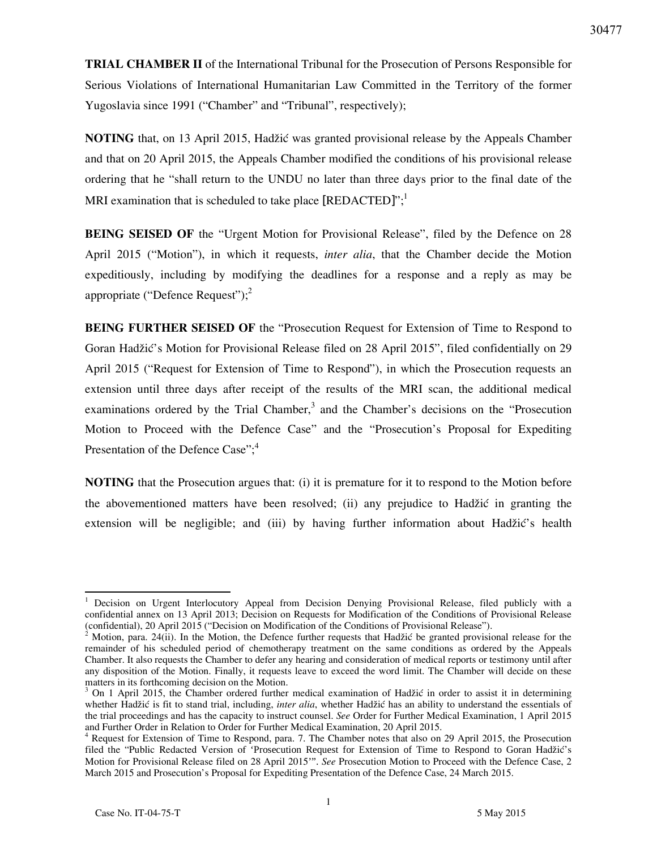**TRIAL CHAMBER II** of the International Tribunal for the Prosecution of Persons Responsible for Serious Violations of International Humanitarian Law Committed in the Territory of the former Yugoslavia since 1991 ("Chamber" and "Tribunal", respectively);

**NOTING** that, on 13 April 2015, Hadžić was granted provisional release by the Appeals Chamber and that on 20 April 2015, the Appeals Chamber modified the conditions of his provisional release ordering that he "shall return to the UNDU no later than three days prior to the final date of the MRI examination that is scheduled to take place [REDACTED]";<sup>1</sup>

**BEING SEISED OF** the "Urgent Motion for Provisional Release", filed by the Defence on 28 April 2015 ("Motion"), in which it requests, *inter alia*, that the Chamber decide the Motion expeditiously, including by modifying the deadlines for a response and a reply as may be appropriate ("Defence Request"); $^{2}$ 

**BEING FURTHER SEISED OF** the "Prosecution Request for Extension of Time to Respond to Goran Hadžić's Motion for Provisional Release filed on 28 April 2015", filed confidentially on 29 April 2015 ("Request for Extension of Time to Respond"), in which the Prosecution requests an extension until three days after receipt of the results of the MRI scan, the additional medical examinations ordered by the Trial Chamber,<sup>3</sup> and the Chamber's decisions on the "Prosecution Motion to Proceed with the Defence Case" and the "Prosecution's Proposal for Expediting Presentation of the Defence Case";<sup>4</sup>

**NOTING** that the Prosecution argues that: (i) it is premature for it to respond to the Motion before the abovementioned matters have been resolved; (ii) any prejudice to Hadžić in granting the extension will be negligible; and (iii) by having further information about Hadžić's health

 $\overline{a}$ 

<sup>1</sup> Decision on Urgent Interlocutory Appeal from Decision Denying Provisional Release, filed publicly with a confidential annex on 13 April 2013; Decision on Requests for Modification of the Conditions of Provisional Release (confidential), 20 April 2015 ("Decision on Modification of the Conditions of Provisional Release").

<sup>&</sup>lt;sup>2</sup> Motion, para. 24(ii). In the Motion, the Defence further requests that Hadžić be granted provisional release for the remainder of his scheduled period of chemotherapy treatment on the same conditions as ordered by the Appeals Chamber. It also requests the Chamber to defer any hearing and consideration of medical reports or testimony until after any disposition of the Motion. Finally, it requests leave to exceed the word limit. The Chamber will decide on these matters in its forthcoming decision on the Motion.

<sup>&</sup>lt;sup>3</sup> On 1 April 2015, the Chamber ordered further medical examination of Hadžić in order to assist it in determining whether Hadžić is fit to stand trial, including, *inter alia*, whether Hadžić has an ability to understand the essentials of the trial proceedings and has the capacity to instruct counsel. *See* Order for Further Medical Examination, 1 April 2015 and Further Order in Relation to Order for Further Medical Examination, 20 April 2015.

<sup>&</sup>lt;sup>4</sup> Request for Extension of Time to Respond, para. 7. The Chamber notes that also on 29 April 2015, the Prosecution filed the "Public Redacted Version of 'Prosecution Request for Extension of Time to Respond to Goran Hadžić's Motion for Provisional Release filed on 28 April 2015'". *See* Prosecution Motion to Proceed with the Defence Case, 2 March 2015 and Prosecution's Proposal for Expediting Presentation of the Defence Case, 24 March 2015.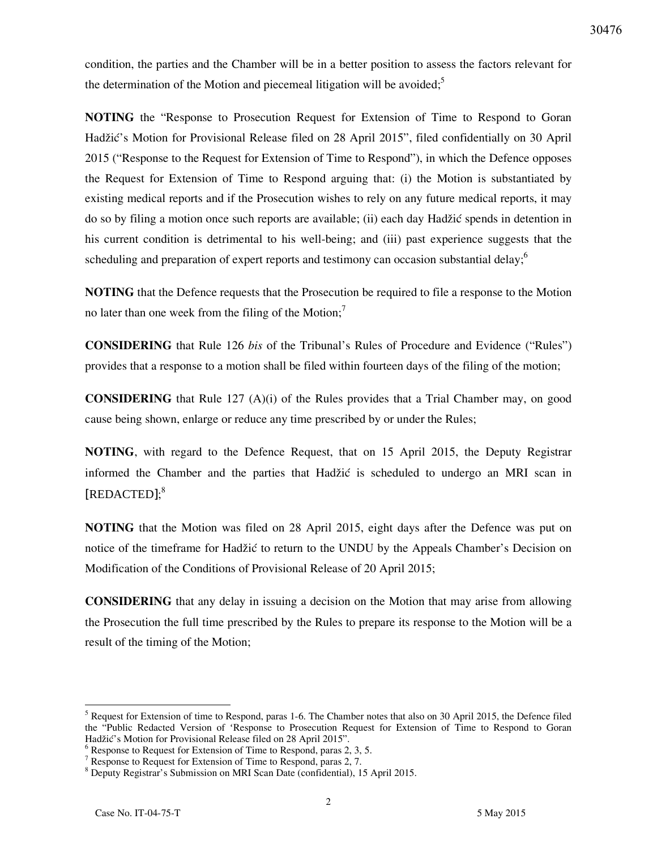condition, the parties and the Chamber will be in a better position to assess the factors relevant for the determination of the Motion and piecemeal litigation will be avoided;<sup>5</sup>

**NOTING** the "Response to Prosecution Request for Extension of Time to Respond to Goran Hadžić's Motion for Provisional Release filed on 28 April 2015", filed confidentially on 30 April 2015 ("Response to the Request for Extension of Time to Respond"), in which the Defence opposes the Request for Extension of Time to Respond arguing that: (i) the Motion is substantiated by existing medical reports and if the Prosecution wishes to rely on any future medical reports, it may do so by filing a motion once such reports are available; (ii) each day Hadžić spends in detention in his current condition is detrimental to his well-being; and (iii) past experience suggests that the scheduling and preparation of expert reports and testimony can occasion substantial delay; $<sup>6</sup>$ </sup>

**NOTING** that the Defence requests that the Prosecution be required to file a response to the Motion no later than one week from the filing of the Motion;<sup>7</sup>

**CONSIDERING** that Rule 126 *bis* of the Tribunal's Rules of Procedure and Evidence ("Rules") provides that a response to a motion shall be filed within fourteen days of the filing of the motion;

**CONSIDERING** that Rule 127 (A)(i) of the Rules provides that a Trial Chamber may, on good cause being shown, enlarge or reduce any time prescribed by or under the Rules;

**NOTING**, with regard to the Defence Request, that on 15 April 2015, the Deputy Registrar informed the Chamber and the parties that Hadžić is scheduled to undergo an MRI scan in [REDACTED]; 8

**NOTING** that the Motion was filed on 28 April 2015, eight days after the Defence was put on notice of the timeframe for Hadžić to return to the UNDU by the Appeals Chamber's Decision on Modification of the Conditions of Provisional Release of 20 April 2015;

**CONSIDERING** that any delay in issuing a decision on the Motion that may arise from allowing the Prosecution the full time prescribed by the Rules to prepare its response to the Motion will be a result of the timing of the Motion;

 $\overline{a}$ 

<sup>&</sup>lt;sup>5</sup> Request for Extension of time to Respond, paras 1-6. The Chamber notes that also on 30 April 2015, the Defence filed the "Public Redacted Version of 'Response to Prosecution Request for Extension of Time to Respond to Goran Hadžić's Motion for Provisional Release filed on 28 April 2015".

<sup>&</sup>lt;sup>6</sup> Response to Request for Extension of Time to Respond, paras 2, 3, 5.

<sup>&</sup>lt;sup>7</sup> Response to Request for Extension of Time to Respond, paras 2, 7.

<sup>8</sup> Deputy Registrar's Submission on MRI Scan Date (confidential), 15 April 2015.